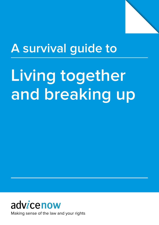

# **A survival guide to**

# Living together **and breaking up**



Making sense of the law and your rights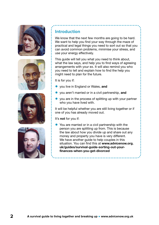







#### **Introduction**

We know that the next few months are going to be hard. We want to help you find your way through the maze of practical and legal things you need to sort out so that you can avoid common problems, minimise your stress, and use your energy effectively.

This guide will tell you what you need to think about, what the law says, and help you to find ways of agreeing arrangements with your ex. It will also remind you who you need to tell and explain how to find the help you might need to plan for the future.

It is for you if:

- • you live in England or Wales, **and**
- • you aren't married or in a civil partnership, **and**
- $\bullet$  you are in the process of splitting up with your partner who you have lived with.

It will be helpful whether you are still living together or if one of you has already moved out.

It's **not** for you if:

• You are married or in a civil partnership with the person you are splitting up from. This is because the law about how you divide up and share out any money and property you have is very different. We have another guide to help couples in this situation. You can find this at **[www.advicenow.org.](https://www.advicenow.org.uk/guides/survival-guide-sorting-out-your-finances-when-you-get-divorced) [uk/guides/survival-guide-sorting-out-your](https://www.advicenow.org.uk/guides/survival-guide-sorting-out-your-finances-when-you-get-divorced)[finances-when-you-get-divorced](https://www.advicenow.org.uk/guides/survival-guide-sorting-out-your-finances-when-you-get-divorced)**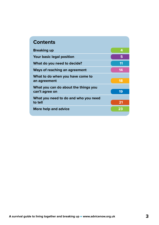| <b>Contents</b>                                        |    |
|--------------------------------------------------------|----|
| <b>Breaking up</b>                                     | 4  |
| <b>Your basic legal position</b>                       | 5  |
| What do you need to decide?                            | 11 |
| <b>Ways of reaching an agreement</b>                   | 14 |
| What to do when you have come to<br>an agreement       | 18 |
| What you can do about the things you<br>can't agree on | 19 |
| What you need to do and who you need<br>to tell        | 21 |
| More help and advice                                   | 23 |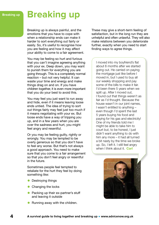## <span id="page-3-0"></span>**Breaking up Breaking up**

Breaking up is always painful, and the emotions that you have to cope with when a relationship ends can make it harder to sort everything out fairly or easily. So, it's useful to recognise how you are feeling and how it may affect your ability to come to a fair agreement.

You may be feeling so hurt and furious that you can't imagine agreeing anything with your ex. Deep down, you may want to punish them for everything you are going through. This is a completely normal reaction – but not very helpful. It can waste your time and energy and make things drag on and on. If you have children together, it is even more important that you do your best to avoid this.

You may feel you just want to run away and hide, even if it means leaving loose ends untied. The idea of trying to sort out things fairly may feel just too much if it means negotiating with your ex. But loose ends have a way of tripping you up, and in a few years when you are over the sadness and hurt, you might feel angry and resentful.

Or you may be feeling guilty, rightly or wrongly. You may be tempted to be overly generous so that you don't have to feel any worse. But that's not always a good approach. You need to make sure that you come to a fair arrangement so that you don't feel angry or resentful in the future.

Sometimes people feel tempted to retaliate for the hurt they feel by doing something like:

- Destroying things
- Changing the locks
- Packing up their ex-partner's stuff and leaving it outside
- Running away with the children.

These may give a short-term feeling of satisfaction, but in the long run they are unhelpful and often unlawful. They will also make relations between you deteriorate further, exactly when you need to start finding ways to agree things.

I moved into my boyfriend's flat about 6 months after we started going out. He carried on paying the mortgage just like before I moved in, but I used to buy all our weekly shopping and pay some of the bills to make it fair. I'd been there 5 years when we split up. After I moved out, I found out that things weren't as fair as I'd thought. Because the house wasn't in our joint names, I wasn't entitled to anything – even though I'd spent the last 5 years buying his food and paying for his gas and electricity! One of my friends told me I might be able to take him to court but, to be honest, I just didn't want anything to do with him any more – it had all turned a bit nasty by the time we broke up. So, I left it. I still feel angry when I think about it. **Carl**

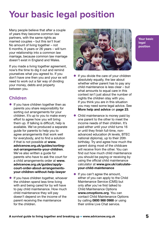# <span id="page-4-0"></span>**Your basic legal position**

Many people believe that after a couple of years they become common law partners, with the same rights as married couples – but this isn't true! No amount of living together – not 6 months, 6 years or 26 years – will turn your relationship into a common law marriage, because common law marriage doesn't exist in England and Wales.

If you made a living together agreement, now's the time to dig it out and remind yourselves what you agreed to. If you don't have one then you and your ex will need to work out a fair way of dividing your money, debts and property between you.

#### **Children**

- $\bullet$  If you have children together then as parents you share responsibility for sorting out arrangements for your children. It's up to you to make every effort to agree how you will bring them up. If talking is difficult, help is available. We've produced a separate guide for parents to help you to agree arrangements that work well for everybody, and to find a solution if that is not possible at **[www.](https://www.advicenow.org.uk/guides/sorting-out-arrangements-your-children) [advicenow.org.uk/guides/sorting](https://www.advicenow.org.uk/guides/sorting-out-arrangements-your-children)[out-arrangements-your-children](https://www.advicenow.org.uk/guides/sorting-out-arrangements-your-children)**. We've also written a guide for parents who have to ask the court for a child arrangements order at **[www.](https://www.advicenow.org.uk/guides/apply-court-order-about-arrangements-your-children-without-help-lawyer) [advicenow.org.uk/guides/apply](https://www.advicenow.org.uk/guides/apply-court-order-about-arrangements-your-children-without-help-lawyer)[court-order-about-arrangements](https://www.advicenow.org.uk/guides/apply-court-order-about-arrangements-your-children-without-help-lawyer)[your-children-without-help-lawyer](https://www.advicenow.org.uk/guides/apply-court-order-about-arrangements-your-children-without-help-lawyer)**
- $\bullet$  If you have children together, whoever the children spend less time living with and being cared for by will have to pay child maintenance. How much child maintenance they will pay doesn't depend on the income of the parent receiving the maintenance for the children.



**Your basic legal position**

- If you divide the care of your children absolutely equally, the law about whether either parent has to pay any child maintenance is less clear – but what amounts to equal care in this context isn't just about the number of nights the children stay with you. If you think you are in this situation you may need some legal advice. See **[More help and advice](#page-22-0)** on **page 23**.
- Child maintenance is money paid by one parent to the other to meet the income needs of their children. It's paid either until your child turns 16 or until they finish full-time, nonadvanced education (A levels, BTEC national diploma), up to their 20th birthday. Try and agree how much the parent doing most of the childcare will receive from the other. You can find out how much child maintenance you should be paying or receiving by using the official child maintenance calculator at **[www.gov.uk/calculate](http://www.gov.uk/calculate-your-child-maintenance)[your-child-maintenance](http://www.gov.uk/calculate-your-child-maintenance)**
- If you can't agree the amount, either of you can apply to the Child Maintenance Service (CMS) but only after you've first talked to Child Maintenance Options **[www.cmoptions.org](https://www.cmoptions.org/)**. You can contact Child Maintenance Options by calling **0800 988 0988** or using their online Live Chat service.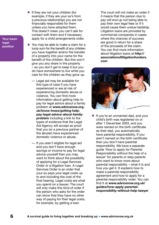- <span id="page-5-0"></span>• If they are not your children (for example, if they are your ex's from a previous relationship) you are not financially responsible for them unless you have adopted them. This doesn't mean you can't ask for contact with them and if necessary apply for a child arrangements order.
- You may be able to make a claim for a lump sum for the benefit of any children you have together and/or the transfer of a property into your name for the benefit of the children. But this won't give you any share in the property – so you don't get to keep it but you do have somewhere to live while you care for the children as they grow up.
	- Legal aid may be available for this type of case if you have experienced or are at risk of experiencing domestic abuse or violence. You can find more information about getting help to pay for legal advice about a family problem at **[www.advicenow.org.](https://www.advicenow.org.uk/know-hows/getting-help-pay-legal-advice-about-family-problem) [uk/know-hows/getting-help](https://www.advicenow.org.uk/know-hows/getting-help-pay-legal-advice-about-family-problem)[pay-legal-advice-about-family](https://www.advicenow.org.uk/know-hows/getting-help-pay-legal-advice-about-family-problem)[problem](https://www.advicenow.org.uk/know-hows/getting-help-pay-legal-advice-about-family-problem)** including a link to the types of evidence that the Legal Aid Agency will accept as proof that you (or a previous partner of the abuser) have experienced domestic violence or abuse.
	- If you aren't eligible for legal aid and you don't have enough savings or income to pay for legal advice yourself then you may want to think about the possibility of applying for a Legal Services Order or a litigation loan. A Legal Services Order is an order that your ex pays your legal costs up to and including the cost of the final hearing. Legal costs are what you spend on a lawyer. The court will only make this kind of order if the person who asks for the order can show that they have no other way of paying for their legal costs, for example, by getting a loan.

The court will not make an order if it means that the person due to pay will end up not being able to pay their own legal fees or if it would cause them undue hardship. Litigation loans are provided by commercial companies in cases where the chances of success are good in return for a share of the proceeds of the claim. You can find more information about litigation loans at **[http://](http://associationoflitigationfunders.com/) [associationoflitigationfunders.](http://associationoflitigationfunders.com/) [com](http://associationoflitigationfunders.com/)**



• If you're an unmarried dad, and your child's birth was registered on or after 1 December 2003, and you were named on the birth certificate as their dad, you automatically have parental responsibility. If you aren't named on the birth certificate then you don't have parental responsibility. We have a separate guide 'How to apply for Parental Responsibility without the help of a lawyer' for parents or step-parents who want to know more about parental responsibility – what it is and how you get it. It explains how to make a parental responsibility agreement and how to apply for a parental responsibility order. You can find it at **[www.advicenow.org.uk/](https://www.advicenow.org.uk/guides/how-apply-parental-responsibility-without-help-lawyer) [guides/how-apply-parental](https://www.advicenow.org.uk/guides/how-apply-parental-responsibility-without-help-lawyer)[responsibility-without-help-lawyer](https://www.advicenow.org.uk/guides/how-apply-parental-responsibility-without-help-lawyer)**

**Your basic legal position**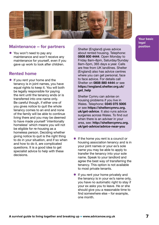<span id="page-6-0"></span>

#### **Maintenance – for partners**

• You won't need to pay any maintenance and won't receive any maintenance for yourself, even if you gave up work to look after children.

#### **Rented home**

 $\bullet$  If you rent your home and the tenancy is in joint names, you have equal rights to keep it. You will both be legally responsible for paying the rent until the tenancy ends or is transferred into one name only. Be careful though, if either one of you gives notice to quit the whole tenancy comes to an end and none of the family will be able to continue living there and you may be deemed to have made yourself 'intentionally homeless' which means you will not be eligible for re-housing as a homeless person. Deciding whether giving notice to quit is the right thing to do in your situation, and if so when and how to do it, are complicated questions. It is a good idea to get specialist advice to help with these decisions.

**position**<br>Shelter (England) gives advice about rented housing. Telephone: **0808 800 4444**. Open Monday to Friday 8am–8pm, Saturday/Sunday 8am–5pm, 365 days a year. Calls are free from UK landlines. Shelter (England) also has advice centres where you can get personal, face to face advice. For details call Shelter on **0808 880 4444** or see **[https://england.shelter.org.uk/](https://england.shelter.org.uk/get_help) [get\\_help](https://england.shelter.org.uk/get_help)**

Shelter Cymru can advise on housing problems if you live in Wales. Telephone: **0345 075 5005** or see **[https://sheltercymru.org.](https://sheltercymru.org.uk/get-advice/) [uk/get-advice](https://sheltercymru.org.uk/get-advice/)**. It also runs advice surgeries across Wales. To find out when there is an adviser in your area, see: **[http://sheltercymru.org.](http://sheltercymru.org.uk/get-advice/advice-near-you/) [uk/get-advice/advice-near-you](http://sheltercymru.org.uk/get-advice/advice-near-you/)**

- If the home you rent is a council or housing association tenancy and is in your joint names or your ex's sole name you may be able to apply to transfer the tenancy into your sole name. Speak to your landlord and agree the best way of transferring the tenancy. This option is not available to most private tenants.
- $\bullet$  If you rent your home privately and the tenancy is in your ex's name only, you have no automatic right to stay if your ex asks you to leave. He or she should give you a reasonable time to find somewhere else – for example, one month.

**Your basic legal**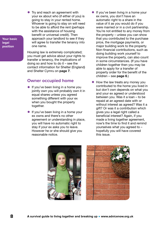• Try and reach an agreement with your ex about who (if either of you) is going to stay in your rented home. Whoever is going to stay on will need to be able to afford the rent (perhaps with the assistance of housing benefit or universal credit). Then approach your landlord to see if they will agree to transfer the tenancy into one name.

Housing law is extremely complicated; you must get advice about your rights to transfer a tenancy, the implications of doing so and how to do it – see the contact information for Shelter (England) and Shelter Cymru on **[page 7](#page-6-0)**.

#### **Owner occupied home**

- $\bullet$  If you've been living in a home you jointly own you will probably own it in equal shares unless you agreed something different with your ex when you bought the property together.
- $\bullet$  If you've been living in a home your ex owns and there's no other agreement or understanding in place, you will have no automatic right to stay if your ex asks you to leave. However he or she should give you reasonable notice.
- If you've been living in a home your ex owns, you don't have an automatic right to a share in the value of it as you would do if you were married or in a civil partnership. You're not entitled to any money from the property – unless you can show that you contributed to the purchase price, the mortgage payments, or major building work to the property. Non-financial contributions, such as doing building work yourself to improve the property, can also count in some circumstances. (If you have children together then you may be able to apply for a transfer of property order for the benefit of the children – see **[page 6](#page-5-0)**.)
- $\bullet$  How the law treats any money you contributed to the home you lived in but don't own depends on what you and your ex agreed or understood between you. Was it a loan – to be repaid at an agreed date with or without interest as agreed? Was it a gift? Or was it a contribution which gives you a legal right called a beneficial interest? Again, if you made a living together agreement, now's the time to find it and remind yourselves what you agreed to – hopefully you will have covered this issue.





**Your basic legal position**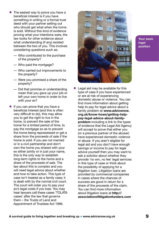- $\bullet$  The easiest way to prove you have a beneficial interest is if you have something in writing or a formal trust deed with your partner setting out who should get what when the home is sold. Without this kind of evidence proving what your intentions were, the law looks for other evidence about what understanding (if any) existed between the two of you. This involves considering questions such as:
	- Who contributed to the purchase of the property?
	- Who paid the mortgage?
	- Who carried out improvements to the property?
	- Were you promised a share of the property?
	- Did that promise or understanding mean that you gave up your job or left your own home in order to live with your ex?
- $\bullet$  If you can prove that you have a beneficial interest (and this is often very difficult to do), this may allow you to get the right to live in the home, to prevent the sale of the home for a limited period of time, to pay the mortgage so as to prevent the home being repossessed or get a share from the proceeds of sale if the home is sold. If you are not married or in a civil partnership and don't own the home you shared with your ex either jointly or in just your name, this is the only way to establish long-term rights to the home and a share of the proceeds of sale. The law about this is complex and you will need legal advice about whether and how to take action. This type of case isn't treated as a family case; it is dealt with by the normal civil court. The court will order you to pay your ex's legal costs if you lose. You may hear lawyers call these cases 'TOLATA cases' after the law that governs them – the Trusts of Land and Appointment of Trustees Act 1996.



**Your basic legal position**

Legal aid may be available for this type of case if you have experienced or are at risk of experiencing domestic abuse or violence. You can find more information about getting help to pay for legal advice about a family problem at **[www.advicenow.](https://www.advicenow.org.uk/know-hows/getting-help-pay-legal-advice-about-family-problem) [org.uk/know-hows/getting-help](https://www.advicenow.org.uk/know-hows/getting-help-pay-legal-advice-about-family-problem)[pay-legal-advice-about-family](https://www.advicenow.org.uk/know-hows/getting-help-pay-legal-advice-about-family-problem)[problem](https://www.advicenow.org.uk/know-hows/getting-help-pay-legal-advice-about-family-problem)** including a link to the types of evidence that the Legal Aid Agency will accept to prove that either you (or a previous partner of the abuser) have experienced domestic violence or abuse. If you aren't eligible for legal aid and you don't have enough savings or income to pay for legal advice yourself then you may want to ask a solicitor about whether they provide 'no win, no fee' legal services in this type of case or think about the possibility of applying for a litigation loan. Litigation loans are provided by commercial companies in cases where the chances of success are good in return for a share of the proceeds of the claim. You can find more information about litigation loans at **[http://](http://associationoflitigationfunders.com/) [associationoflitigationfunders.com](http://associationoflitigationfunders.com/)**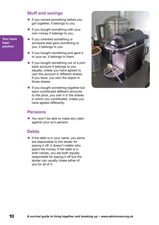#### **Stuff and savings**

- If you owned something before you got together, it belongs to you.
- $\bullet$  If you bought something with your own money it belongs to you.
- **•** If you inherited something or someone else gave something to you, it belongs to you.
- If you bought something and gave it to your ex, it belongs to them.
- $\bullet$  If you bought something out of a joint bank account it belongs to you equally, unless you have agreed to own the account in different shares. If you have, you own the object in those shares.
- If you bought something together but each contributed different amounts to the price, you own it in the shares in which you contributed, unless you have agreed differently.

#### **Pensions**

• You won't be able to make any claim against your ex's pension.

#### **Debts**

 $\bullet$  If the debt is in your name, you alone are responsible to the lender for paying it off; it doesn't matter who spent the money. If the debt is in both names, you are both equally responsible for paying it off but the lender can usually chase either of you for all of it.



**Your basic legal position**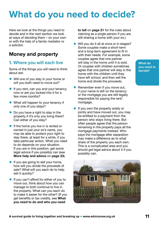# <span id="page-10-0"></span>**What do you need to decide?**

Here we look at the things you need to decide and in the next section we look at ways of deciding them – on your own or with the help of a family mediator or a solicitor.

#### **Money and property**

#### **1. Where you will each live**

Some of the things you will need to think about are:

- Will one of you stay in your home or will you both need to move out?
- **•** If you rent, can you end your tenancy now or are you locked into it for a few more months?
- What will happen to your tenancy if only one of you stays?
- $\bullet$  Do you have a right to stay in the property if it's only you living there? Can either of you stay?
- **•** If the home you live in is rented or owned in just your ex's name, you may be able to protect your right to stay there, at least for a while, if you take particular action. What you need to do depends on your situation. If you are in this position, get some legal advice if you possibly can (see **[More help and advice](#page-22-0)** on **page 23**).
- $\bullet$  If you are going to sell your home, how will you divide the proceeds of sale? What will you each do to help sell it quickly?
- **•** If you can't afford for either of you to move out, think about how you can manage to both continue to live in the property. What can you each do to make it easier for the other? (If you get benefits or tax credits, see **[What](#page-20-0)  [you need to do and who you need](#page-20-0)**

**to tell** on **[page 21](#page-20-0)** for the rules about claiming as a single person if you are still sharing a home with your ex.)

- Will you do it all at once or in stages? Some couples make a short-term and a long-term agreement to fit in with their needs. For example, some couples agree that one partner will stay in the home until it is sold. Or couples with children sometimes agree that one partner will stay in the home with the children until they have left school, and then sell the home and divide the proceeds.
- Remember even if you move out, if your name is still on the tenancy or the mortgage you are still legally responsible for paying the rent/ mortgage.
- If you own the property solely or jointly and have moved out, you may be entitled to a payment from the person who stays living there. But often people agree that the person remaining in the property pays all the mortgage payments instead. Who pays the mortgage after separation may make a difference as to what share of the property you each own. This is a complicated area and you should get legal advice about it if you possibly can.



**What do you need to decide?**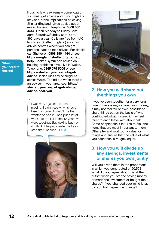**What do you need to decide?**

Housing law is extremely complicated; you must get advice about your rights to stay and/or the implications of leaving. Shelter (England) gives advice about rented housing. Telephone: **0808 800 4444**. Open Monday to Friday 8am– 8pm, Saturday/Sunday 8am–5pm, 365 days a year. Calls are free from UK landlines. Shelter (England) also has advice centres where you can get personal, face to face advice. For details call Shelter on **0808 880 4444** or see **[https://england.shelter.org.uk/get\\_](https://england.shelter.org.uk/get_help) [help](https://england.shelter.org.uk/get_help)**. Shelter Cymru can advise on housing problems if you live in Wales. Telephone: **0345 075 5005** or see **[https://sheltercymru.org.uk/get](https://sheltercymru.org.uk/get-advice/)[advice](https://sheltercymru.org.uk/get-advice/)**. It also runs advice surgeries across Wales. To find out when there is an adviser in your area, see: **[http://](http://sheltercymru.org.uk/get-advice/advice-near-you/) [sheltercymru.org.uk/get-advice/](http://sheltercymru.org.uk/get-advice/advice-near-you/) [advice-near-you](http://sheltercymru.org.uk/get-advice/advice-near-you/)**.

I was very against the idea of moving. I didn't see why I should lose my home; it wasn't me that wanted to end it. I had put a lot of work into the flat in the 12 years we were together. But looking back on it, I think it helped create the fresh start that I needed. **Lelia**





#### **2. How you will share out the things you own**

If you've been together for a very long time or have always shared your money, it may not feel fair or even possible to share things out on the basis of who contributed what. Instead it may feel fairer to each leave with about half. Some people take it in turns to pick the items that are most important to them. Others try and work out a value for things and ensure that the value of what you each take is roughly equal.

#### **3. How you will divide up any savings, investments or shares you own jointly**

Will you divide them in the proportions in which you contributed or 50:50? What did you agree about this at the outset when you started saving money or made the investment or bought the shares? If you changed your mind later, did you both agree the change?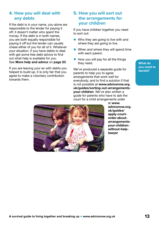#### **4. How you will deal with any debts**

If the debt is in your name, you alone are responsible to the lender for paying it off; it doesn't matter who spent the money. If the debt is in both names, you are both equally responsible for paying it off but the lender can usually chase either of you for all of it. Whatever your situation, if you have debts to deal with get some free debt advice to find out what help is available for you. See **[More help and advice](#page-22-0)** on **page 23**.

If you are leaving your ex with debts you helped to build up, it is only fair that you agree to make a voluntary contribution towards them.

#### **5. How you will sort out the arrangements for your children**

If you have children together you need to sort out:

- $\bullet$  Who they are going to live with and where they are going to live.
- $\bullet$  When and where they will spend time with each parent.
- $\bullet$  How you will pay for all the things they need.

We've produced a separate guide for parents to help you to agree arrangements that work well for everybody, and to find a solution if that is not possible at **[www.advicenow.org.](https://www.advicenow.org.uk/guides/sorting-out-arrangements-your-children) [uk/guides/sorting-out-arrangements](https://www.advicenow.org.uk/guides/sorting-out-arrangements-your-children)[your-children](https://www.advicenow.org.uk/guides/sorting-out-arrangements-your-children)**. We've also written a guide for parents who have to ask the court for a child arrangements order



at **[www.](https://www.advicenow.org.uk/guides/apply-court-order-about-arrangements-your-children-without-help-lawyer) [advicenow.org.](https://www.advicenow.org.uk/guides/apply-court-order-about-arrangements-your-children-without-help-lawyer) [uk/guides/](https://www.advicenow.org.uk/guides/apply-court-order-about-arrangements-your-children-without-help-lawyer) [apply-court](https://www.advicenow.org.uk/guides/apply-court-order-about-arrangements-your-children-without-help-lawyer)[order-about](https://www.advicenow.org.uk/guides/apply-court-order-about-arrangements-your-children-without-help-lawyer)[arrangements](https://www.advicenow.org.uk/guides/apply-court-order-about-arrangements-your-children-without-help-lawyer)[your-children](https://www.advicenow.org.uk/guides/apply-court-order-about-arrangements-your-children-without-help-lawyer)[without-help](https://www.advicenow.org.uk/guides/apply-court-order-about-arrangements-your-children-without-help-lawyer)[lawyer](https://www.advicenow.org.uk/guides/apply-court-order-about-arrangements-your-children-without-help-lawyer)**

**What do you need to decide?**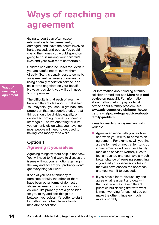### <span id="page-13-0"></span>**Ways of reaching an agreement**

Going to court can often cause relationships to be permanently damaged, and leave the adults involved hurt, stressed, and poorer. You could spend the money you would spend on going to court making your children's lives and your own more comfortable.

Children can often be upset too, even if you are careful not to involve them directly. So, it is usually best to come to an agreement between yourselves, or using a family mediation service, or a solicitor to negotiate on your behalf. However you do it, you will both need to compromise.

**Ways of reaching an agreement**

> The difficulty is that each of you may have a different idea about what is fair. You may think you should get back the proportion that you contributed, or that things should be divided equally, or divided according to what you need to start again. There's one thing for sure, you can only divide what you have, so most people will need to get used to having less money for a while.

#### **Option 1 Agreeing it yourselves**

Agreeing things without help is not easy. You will need to find ways to discuss the issues without your emotions getting in the way and accept you probably won't get everything you want.

If one of you has a tendency to dominate or bully the other, or there have been other forms of domestic abuse between you or involving your children, it's probably not a good idea for you to try and sort things out between yourselves. It's better to start by getting some help from a family mediator or solicitor.



For information about finding a family solicitor or mediator see **[More help and](#page-22-0)  advice** on **[page 23](#page-22-0)**. For information about getting help to pay for legal advice about a family problem, see **[www.advicenow.org.uk/know-hows/](https://www.advicenow.org.uk/know-hows/getting-help-pay-legal-advice-about-family-problem) [getting-help-pay-legal-advice-about](https://www.advicenow.org.uk/know-hows/getting-help-pay-legal-advice-about-family-problem)[family-problem](https://www.advicenow.org.uk/know-hows/getting-help-pay-legal-advice-about-family-problem)**

Ideas for reaching an agreement with your ex:

- Agree in advance with your  $ex$  how and when you will try to come to an agreement. For example, will you find a date to meet on neutral territory, do it over email, or will you use a family mediation service? Nobody likes to feel ambushed and you have a much better chance of agreeing something if you start your discussions feeling that you have chosen the approach and you want it to succeed.
- $\bullet$  If you have a lot to discuss, try and agree what is urgent and deal with that first. You may have different priorities but dealing first with what is most worrying for each of you can make the other things go much more smoothly.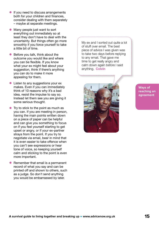- If you need to discuss arrangements both for your children and finances, consider dealing with them separately – maybe at separate meetings.
- $\bullet$  Many people just want to sort everything out immediately so at least they don't have to deal with the uncertainty. But things often go more smoothly if you force yourself to take a little bit of time.
- Before you talk, think about the outcome you would like and where you can be flexible. If you know what your ex might feel about your suggestion, think if there's anything you can do to make it more appealing for them.
- Listen to any suggestions your ex makes. Even if you can immediately think of 10 reasons why it's a bad idea, resist the impulse to say so. Instead let them see you are giving it some serious thought.
- $\bullet$  Try to stick to the point as much as you can. If you are meeting in person, having the main points written down on a piece of paper can be helpful and can give you something to focus on if you feel yourself starting to get upset or angry, or if your ex-partner strays from the point. If you try to negotiate via email, bear in mind that it is even easier to take offence when you can't see expressions or hear tone of voice, so keeping yourself calm and sticking to the point is even more important.
- Remember that email is a permanent record of what you say and can be printed off and shown to others, such as a judge. So don't send anything you would be embarrassed by later.

My ex and I sorted out quite a lot of stuff over email. The best piece of advice I was given was to take two days before replying to any email. That gave me time to get really angry and calm down again before I said anything. **Colvin**



**Ways of reaching an agreement**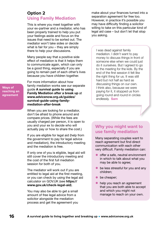#### **Option 2 Using Family Mediation**

This is where you meet together with your ex-partner and a mediator, who has been properly trained to help you put your feelings aside and focus on the issues that need to be sorted out. The mediator won't take sides or decide what is fair for you – they are simply there to help your discussions.

Many people say that a positive side effect of mediation is that it helps them to communicate again, which can only be a good thing, especially if you are going to remain part of each other's lives because you have children together.

For more information about how family mediation works see our separate guide **[A survival guide to using](https://www.advicenow.org.uk/guides/survival-guide-using-family-mediation-after-break)  [Family Mediation after a break up](https://www.advicenow.org.uk/guides/survival-guide-using-family-mediation-after-break)** at **[www.advicenow.org.uk/guides/](https://www.advicenow.org.uk/guides/survival-guide-using-family-mediation-after-break) [survival-guide-using-family](https://www.advicenow.org.uk/guides/survival-guide-using-family-mediation-after-break)[mediation-after-break](https://www.advicenow.org.uk/guides/survival-guide-using-family-mediation-after-break)**

When you are looking for a mediator, don't be afraid to phone around and compare prices. (While the fees are usually charged per person, it is open to you and your ex to decide who will actually pay or how to share the cost.)

If you are eligible for legal aid (help from the government to pay for legal advice and mediation), the introductory meeting and the mediation is free.

If only one of you is eligible, legal aid will still cover the introductory meeting and the cost of the first full mediation session for both of you.

The mediator will work out if you are entitled to legal aid at the first meeting, or you can check by using the legal aid calculator on GOV.UK (see **[https://](https://www.gov.uk/check-legal-aid) [www.gov.uk/check-legal-aid](https://www.gov.uk/check-legal-aid)**).

You may also be able to get a small amount of free legal advice from a solicitor alongside the mediation process and get the agreement you

make about your finances turned into a separation agreement for free too. However, in practice it's possible you may have difficulty finding a solicitor willing to take on this particular kind of legal aid case – but don't let that stop you asking.

I was dead against family mediation. I didn't want to pay money to discuss things in front of someone else when we could just do it ourselves. But I agreed to go to the meeting for the kids. By the end of the first session it felt like the right thing for us. It was still hard but not half as hard as discussing things on our own. I think also, because we were paying for it, it stopped us from going round and round in circles endlessly. **Sam**

#### **Why you might want to use family mediation**

Many separating couples want to reach agreement but find direct communication with each other very difficult. Family mediation can:

- $\bullet$  offer a safe, neutral environment in which to talk about what you may be able to agree;
- $\bullet\;$  be less stressful for you and any children;
- be cheaper:
- help you reach an agreement that you are both able to accept and which you might not manage to reach on your own.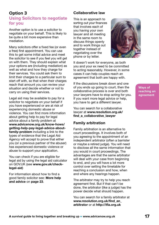#### **Option 3 Using Solicitors to negotiate for you**

Another option is to use a solicitor to negotiate on your behalf. This is likely to be quite a bit more expensive than mediation.

Many solicitors offer a fixed fee (or even a free) first appointment. You can use this to get some initial advice and meet the solicitor to see if you feel you will get on with them. They should explain what your options are (including mediation) as well as what and how they charge for their services. You could ask them to limit their charges to a particular sum to start off with, so that when their charges reach that amount you can review your situation and decide whether or not to carry on using their services.

Legal aid may be available to pay for a solicitor to negotiate on your behalf if you have experienced or are at risk of experiencing domestic abuse or violence. You can find more information about getting help to pay for legal advice about a family problem at **[www.advicenow.org.uk/know-hows/](https://www.advicenow.org.uk/know-hows/getting-help-pay-legal-advice-about-family-problem) [getting-help-pay-legal-advice-about](https://www.advicenow.org.uk/know-hows/getting-help-pay-legal-advice-about-family-problem)[family-problem](https://www.advicenow.org.uk/know-hows/getting-help-pay-legal-advice-about-family-problem)** including a link to the types of evidence that the Legal Aid Agency will accept to prove that either you (or a previous partner of the abuser) has experienced domestic violence or abuse to support your application.

You can check if you are eligible for legal aid by using the legal aid calculator on GOV.UK (see **[www.gov.uk/check](https://www.gov.uk/check-legal-aid)[legal-aid](https://www.gov.uk/check-legal-aid)**)

For information about how to find a good family solicitor see: **[More help](#page-22-0)  [and advice](#page-22-0)** on **page 23**.

#### **Collaborative law**

This is an approach to sorting out your finances that involves each of you having your own lawyer and all meeting in the same room to discuss things openly and to work things out together instead of negotiating over the phone or by letter.



It doesn't work for everyone, as both you and your ex need to be committed to acting reasonably. However, in some cases it can help couples reach an agreement that both are happy with.

If the discussions break down and one of you ends up going to court, then the collaborative process is over and both your lawyers have to stop acting for you. If you want more legal advice or help, you have to get a different lawyer.

You can search for a collaborative lawyer at **[www.resolution.org.uk/](http://www.resolution.org.uk/find_a_collaborative_lawyer/) [find\\_a\\_collaborative\\_lawyer](http://www.resolution.org.uk/find_a_collaborative_lawyer/)**

#### **Family arbitration**

Family arbitration is an alternative to court proceedings. It involves both of you agreeing to the appointment of an independent arbitrator (often a barrister or maybe a retired judge). You will need to disclose all the same information that you would in court proceedings. The advantages are that the same arbitrator will deal with your case from beginning to end, and you will have a lot more control over setting the timetable for reaching a conclusion and how, when and where any hearings happen.

The arbitrator may try to help you reach agreement first. But if that can't be done, the arbitrator (like a judge) has the power decide what should happen.

You can search for a family arbitrator at **[www.resolution.org.uk/find\\_an\\_](http://www.resolution.org.uk/find_an_arbitrator/) [arbitrator](http://www.resolution.org.uk/find_an_arbitrator/)** or at **[http://ifla.org.uk](http://ifla.org.uk/)**

**Ways of reaching an agreement**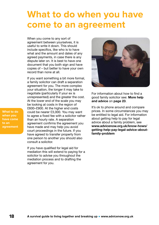### <span id="page-17-0"></span>**What to do when you have come to an agreement**

When you come to any sort of agreement between yourselves, it is useful to write it down. This should include specifics, like who is to have what and the amount and dates of any agreed payments, in case there is any dispute later on. It is best to have one document that you both sign and have copies of – but better to have your own record than none at all.

If you want something a bit more formal, a family solicitor can draft a separation agreement for you. The more complex your situation, the longer it may take to negotiate (particularly if your ex is unrepresented) and the greater the cost. At the lower end of the scale you may be looking at costs in the region of £600–£900. At the higher end costs could be nearer £3,000. You may want to agree a fixed fee with a solicitor rather than an hourly rate. A separation agreement confirms the agreement you have made and may help you avoid court proceedings in the future. If you have agreed to transfer property from one person to another you should also consult a solicitor.

If you have qualified for legal aid for mediation this will extend to paying for a solicitor to advise you throughout the mediation process and to drafting the agreement for you.



For information about how to find a good family solicitor see: **[More help](#page-22-0)  [and advice](#page-22-0)** on **page 23**.

It's ok to phone around and compare prices. In some circumstances you may be entitled to legal aid. For information about getting help to pay for legal advice about a family problem, see **[www.advicenow.org.uk/know-hows/](https://www.advicenow.org.uk/know-hows/getting-help-pay-legal-advice-about-family-problem) [getting-help-pay-legal-advice-about](https://www.advicenow.org.uk/know-hows/getting-help-pay-legal-advice-about-family-problem)[family-problem](https://www.advicenow.org.uk/know-hows/getting-help-pay-legal-advice-about-family-problem)**

**What to do when you have come to an agreement**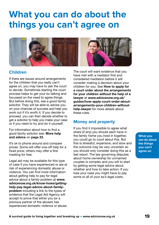### <span id="page-18-0"></span>**What you can do about the things you can't agree on**



#### **Children**

If there are issues around arrangements for the children that you really can't agree on, you may have to ask the court to decide. Sometimes starting the court process helps to get your ex talking and focussed on the need to agree things. But before doing this, see a good family solicitor. They will be able to advise you on your chances of success and help you work out if it's worth it. If you decide to proceed, you can then decide whether to get a solicitor to help you make your case or if you need to try and do it yourself.

For information about how to find a good family solicitor see: **[More help](#page-22-0)  [and advice](#page-22-0)** on **page 23**.

It's ok to phone around and compare prices. Some will offer one-off help for a fixed price; others may offer a first meeting for free.

Legal aid may be available for this type of case if you have experienced or are at risk of experiencing domestic abuse or violence. You can find more information about getting help to pay for legal advice about a family problem at **[www.](https://www.advicenow.org.uk/know-hows/getting-help-pay-legal-advice-about-family-problem) [advicenow.org.uk/know-hows/getting](https://www.advicenow.org.uk/know-hows/getting-help-pay-legal-advice-about-family-problem)[help-pay-legal-advice-about-family](https://www.advicenow.org.uk/know-hows/getting-help-pay-legal-advice-about-family-problem)[problem](https://www.advicenow.org.uk/know-hows/getting-help-pay-legal-advice-about-family-problem)** including a link to the types of evidence that the Legal Aid Agency will accept to prove that either you (or a previous partner of the abuser) has experienced domestic violence or abuse.

The court will want evidence that you have met with a mediator first and considered mediation before it will consider making a decision about your children for you. See **[How to apply for](https://www.advicenow.org.uk/guides/how-apply-court-order-about-arrangements-your-children-without-help-lawyer)  [a court order about the arrangements](https://www.advicenow.org.uk/guides/how-apply-court-order-about-arrangements-your-children-without-help-lawyer)  [for your children without the help of a](https://www.advicenow.org.uk/guides/how-apply-court-order-about-arrangements-your-children-without-help-lawyer)  [lawyer](https://www.advicenow.org.uk/guides/how-apply-court-order-about-arrangements-your-children-without-help-lawyer)** at **[www.advicenow.org.uk/](https://www.advicenow.org.uk/guides/how-apply-court-order-about-arrangements-your-children-without-help-lawyer) [guides/how-apply-court-order-about](https://www.advicenow.org.uk/guides/how-apply-court-order-about-arrangements-your-children-without-help-lawyer)[arrangements-your-children-without](https://www.advicenow.org.uk/guides/how-apply-court-order-about-arrangements-your-children-without-help-lawyer)[help-lawyer](https://www.advicenow.org.uk/guides/how-apply-court-order-about-arrangements-your-children-without-help-lawyer)** for more details about these rules.

#### **Money and property**

If you find it impossible to agree what share (if any) you should each have in the family home you lived in together, you could go to court about this. But this is stressful, expensive, and slow and the outcome may be very uncertain so you should only consider doing this as a last resort. The law governing disputes about home ownership for unmarried couples is complex and you will to start by getting some legal advice about whether and how to take action. If you lose your case you might have to pay some or all of your ex's legal costs.

**What you can do about the things you can't agree on**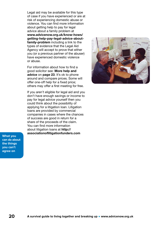Legal aid may be available for this type of case if you have experienced or are at risk of experiencing domestic abuse or violence. You can find more information about getting help to pay for legal advice about a family problem at **[www.advicenow.org.uk/know-hows/](https://www.advicenow.org.uk/know-hows/getting-help-pay-legal-advice-about-family-problem) [getting-help-pay-legal-advice-about](https://www.advicenow.org.uk/know-hows/getting-help-pay-legal-advice-about-family-problem)[family-problem](https://www.advicenow.org.uk/know-hows/getting-help-pay-legal-advice-about-family-problem)** including a link to the types of evidence that the Legal Aid Agency will accept to prove that either you (or a previous partner of the abuser) have experienced domestic violence or abuse.

For information about how to find a good solicitor see: **[More help and](#page-22-0)  advice** on **[page 23](#page-22-0)**. It's ok to phone around and compare prices. Some will offer one-off help for a fixed price; others may offer a first meeting for free.

If you aren't eligible for legal aid and you don't have enough savings or income to pay for legal advice yourself then you could think about the possibility of applying for a litigation loan. Litigation loans are provided by commercial companies in cases where the chances of success are good in return for a share of the proceeds of the claim. You can find more information about litigation loans at **[http://](http://associationoflitigationfunders.com/) [associationoflitigationfunders.com](http://associationoflitigationfunders.com/)**



**What you can do about the things you can't agree on**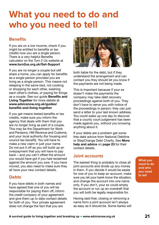### <span id="page-20-0"></span>**What you need to do and who you need to tell**

#### **Benefits**

If you are on a low income, check if you might be entitled to benefits or tax credits now you are a single person. There is a very helpful [Benefits](http://www.advicenow.org.uk/links/benefits-calculator)  [calculator](http://www.advicenow.org.uk/links/benefits-calculator) on the Turn 2 Us website at **[www.turn2us.org.uk/Get-Support](https://www.turn2us.org.uk/Get-Support)**

If you are no longer a couple but still share a home, you can apply for benefits as a single person provided you are living as a single person. This means not sleeping in the same bed, not cooking or shopping for each other, washing each other's clothes, or paying for things as a couple. See our guide **[Benefits and](http://www.advicenow.org.uk/guides/benefits-and-living-together) [Living Together](http://www.advicenow.org.uk/guides/benefits-and-living-together)** for more details at **[www.advicenow.org.uk/guides/](http://www.advicenow.org.uk/guides/benefits-and-living-together) [benefits-and-living-together](http://www.advicenow.org.uk/guides/benefits-and-living-together)**

If you get means tested benefits or tax credits, make sure you inform the agency that deals with them that you are no longer living as part of a couple. This may be the Department for Work and Pensions, HM Revenue and Customs, and your local authority (for housing and council tax benefit). You will have to make a new claim in just your name. Do not put it off as you will build up an overpayment that you will have to pay back – and you can't offset the amount you would have got if you had reclaimed against the amount you owe. If you have moved, you also need to make sure they all have your new contact details.

#### **Debts**

If you have debts in both names and have agreed that one of you will be responsible for paying them off, inform the credit company of your agreement and give them up to date contact details for both of you. Your private agreement does not change the fact that you are



both liable for the debt, but if they understand the arrangement and can contact you they should let you know if the payments are not being made.

This is important because if your ex doesn't make the payments the company may take debt recovery proceedings against both of you. They don't have to serve you with notice of the proceedings in person; they can just send a letter to your last known address. You could wake up one day to discover that a county court judgement has been made against you, without you knowing anything about it.

If your debts are a problem get some free debt advice from National Debtline or [StepChange Debt Charity.](http://www.advicenow.org.uk/links/stepchange-debt-charity) See **[More](#page-22-0)  [help and advice](#page-22-0)** on **page 23** for their contact details.

#### **Joint accounts**

The easiest thing is probably to close all joint accounts and divide up any money in them. If you decide it would be easier for one of you to keep an account, make sure you let your bank know the situation, and change the account into one name only. If you don't, your ex could empty the account or run up an overdraft that you will both be legally responsible for.

Having said that, closing or removing a name from a joint account isn't always as easy as it should be. Some banks will **What you need to do and who you need to tell**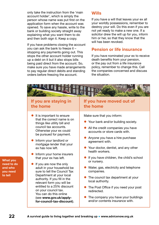only take the instruction from the 'main account holder', which is simply the person whose name was put first on the application form when the account was opened. To save any hassle, write to the bank or building society straight away explaining what you want them to do and then both sign it. Keep a copy.

If you have problems closing the account you can ask the bank to freeze it – stopping any payments going out. This stops the other account holder running up a debt on it but it also stops bills being paid direct from the account. So, make sure you have made arrangements to pay regular direct debits and standing orders before freezing the account.

#### **Wills**

If you have a will that leaves your ex all your worldly possessions, remember to destroy your will. Do this even if you are not yet ready to make a new one. If a solicitor drew the will up for you, inform him or her, so that they know that the will has been revoked.

#### **Pension or life insurance**

If you have nominated your ex to receive death benefits from your pension, or the pay out from a life insurance policy, remember to change this. Call the companies concerned and discuss the situation.



**What you need to do and who you need to tell**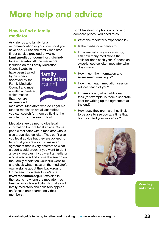# <span id="page-22-0"></span>**More help and advice**

#### **How to find a family mediator**

Ask friends and family for a recommendation or your solicitor if you have one. Or use the family mediator finder service provided at **[www.](https://www.familymediationcouncil.org.uk/find-local-mediator/) [familymediationcouncil.org.uk/find](https://www.familymediationcouncil.org.uk/find-local-mediator/)[local-mediator](https://www.familymediationcouncil.org.uk/find-local-mediator/)**. All the mediators included on the Family Mediation

Council website have been trained by providers approved by the Family Mediation Council and most are also accredited, which means that they are experienced



mediators. Mediators who do Legal Aid funded mediation are all accredited – you can search for them by ticking the middle box on the search tool.

Mediators are trained to give legal information but not legal advice. Some people feel safer with a mediator who is also a qualified solicitor. They can't give you legal advice but they are obliged to tell you if you are about to make an agreement that is very different to what a court would order. (If you want to do it anyway, you can.) If you want a mediator who is also a solicitor, use the search on the Family Mediation Council's website and check what it says on the mediator's own website about their background. Or the [search on Resolution's site](https://www.advicenow.org.uk/links/resolution) **[www.resolution.org.uk](http://www.resolution.org.uk)** explains in the results how long the mediator has been a family law solicitor. (Not all good family mediators and solicitors appear on Resolution's search, only their members).

Don't be afraid to phone around and compare prices. You need to ask:

- What the mediator's experience is?
- Is the mediator accredited?
- $\bullet$  If the mediator is also a solicitor, ask how many mediations the solicitor does each year. (Choose an experienced solicitor–mediator who does many).
- How much the Information and Assessment meeting is?
- How much each mediation session will cost each of you?
- $\bullet$  If there are any other additional fees (for example, is there a separate cost for writing up the agreement at the end?
- $\bullet$  How busy they are are they likely to be able to see you at a time that both you and your ex can do?



**More help and advice**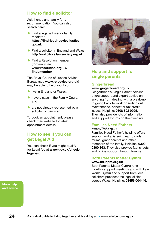#### **How to find a solicitor**

Ask friends and family for a recommendation. You can also search here:

- $\bullet$  Find a legal adviser or family [mediator](http://www.advicenow.org.uk/links/find-legal-adviser-or-family-mediator) **[https://find-legal-advice.justice.](https://find-legal-advice.justice.gov.uk/) [gov.uk](https://find-legal-advice.justice.gov.uk/)**
- [Find a solicitor in England and Wales](http://www.advicenow.org.uk/links/find-solicitor-england-and-wales) **[http://solicitors.lawsociety.org.uk](http://solicitors.lawsociety.org.uk/)**
- Find a Resolution member [\(for family law\)](http://www.advicenow.org.uk/links/find-resolution-member-family-law) **[www.resolution.org.uk/](http://www.resolution.org.uk/findamember/) [findamember](http://www.resolution.org.uk/findamember/)**

The Royal Courts of Justice Advice Bureau (see **[www.rcjadvice.org.uk](http://www.rcjadvice.org.uk/)**) may be able to help you if you:

- **•** live in England or Wales,
- $\bullet$  have a case in the Family Court, and
- $\bullet$  are not already represented by a solicitor or barrister.

To book an appointment, please check their website for latest appointment details.

#### **How to see if you can get Legal Aid**

You can check if you might qualify for Legal Aid at **[www.gov.uk/check](https://www.gov.uk/check-legal-aid)[legal-aid](https://www.gov.uk/check-legal-aid)**



#### **Help and support for single parents**

#### **[Gingerbread](1)**

#### **[www.gingerbread.org.uk](https://www.gingerbread.org.uk/)**

Gingerbread's Single Parent helpline offers support and expert advice on anything from dealing with a break-up, to going back to work or sorting out maintenance, benefit or tax credit issues. Helpline: **0808 802 0925**. They also provide lots of information and support forums on their website.

#### **[Families Need Fathers](http://www.advicenow.org.uk/links/families-need-fathers)**

#### **[https://fnf.org.uk](https://fnf.org.uk/)**

Families Need Father's helpline offers support and a listening ear to dads, mums, grandparents and other members of the family. Helpline: **0300 0300 363**. They also provide fact sheets and online support through forums.

#### **[Both Parents Matter Cymru](http://www.advicenow.org.uk/links/both-parents-matter-cymru)**

#### **[www.fnf-bpm.org.uk](https://www.fnf-bpm.org.uk/)**

Both Parents Matter Cymru runs monthly support meetings and with Law Works Cymru and support from local solicitors provides free legal clinics across Wales. Helpline: **08456 004446**.

**More help and advice**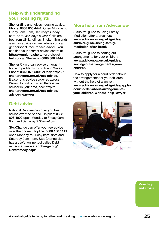#### **Help with understanding your housing rights**

Shelter (England) gives housing advice. Phone: **0808 800 4444**. Open Monday to Friday 8am–8pm, Saturday/Sunday 8am–5pm, 365 days a year. Calls are free from UK landlines. Shelter (England) also has advice centres where you can get personal, face to face advice. You can find your nearest advice centre at **[https://england.shelter.org.uk/get\\_](https://england.shelter.org.uk/get_help) [help](https://england.shelter.org.uk/get_help)** or call Shelter on **0808 880 4444**.

Shelter Cymru can advise on urgent housing problems if you live in Wales. Phone: **0345 075 5005** or visit **[https://](https://sheltercymru.org.uk/get-advice/) [sheltercymru.org.uk/get-advice](https://sheltercymru.org.uk/get-advice/)**. It also runs advice surgeries across Wales. To find out when there is an adviser in your area, see: **[http://](http://sheltercymru.org.uk/get-advice/advice-near-you/) [sheltercymru.org.uk/get-advice/](http://sheltercymru.org.uk/get-advice/advice-near-you/) [advice-near-you](http://sheltercymru.org.uk/get-advice/advice-near-you/)**

#### **Debt advice**

National Debtline can offer you free advice over the phone. Helpline: **0808 808 4000** open Monday to Friday 9am– 9pm and Saturday 9.30am–1pm.

StepChange can offer you free advice over the phone. Helpline: **0800 138 1111**  open Monday to Friday 8am–8pm and Saturday 9am–4pm. StepChange also has a useful online tool called Debt remedy at **[www.stepchange.org/](https://www.stepchange.org/Debtremedy.aspx) [Debtremedy.aspx](https://www.stepchange.org/Debtremedy.aspx)**

#### **More help from Advicenow**

A survival guide to using Family Mediation after a break up: **[www.advicenow.org.uk/guides/](http://www.advicenow.org.uk/guides/survival-guide-using-family-mediation-after-break) [survival-guide-using-family](http://www.advicenow.org.uk/guides/survival-guide-using-family-mediation-after-break)[mediation-after-break](http://www.advicenow.org.uk/guides/survival-guide-using-family-mediation-after-break)**

A survival guide to sorting out arrangements for your children: **[www.advicenow.org.uk/guides/](http://www.advicenow.org.uk/guides/sorting-out-arrangements-your-children) [sorting-out-arrangements-your](http://www.advicenow.org.uk/guides/sorting-out-arrangements-your-children)[children](http://www.advicenow.org.uk/guides/sorting-out-arrangements-your-children)**

How to apply for a court order about the arrangements for your children without the help of a lawyer: **[www.advicenow.org.uk/guides/apply](http://www.advicenow.org.uk/guides/apply-court-order-about-arrangements-your-children-without-help-lawyer)[court-order-about-arrangements](http://www.advicenow.org.uk/guides/apply-court-order-about-arrangements-your-children-without-help-lawyer)[your-children-without-help-lawyer](http://www.advicenow.org.uk/guides/apply-court-order-about-arrangements-your-children-without-help-lawyer)**



**More help and advice**